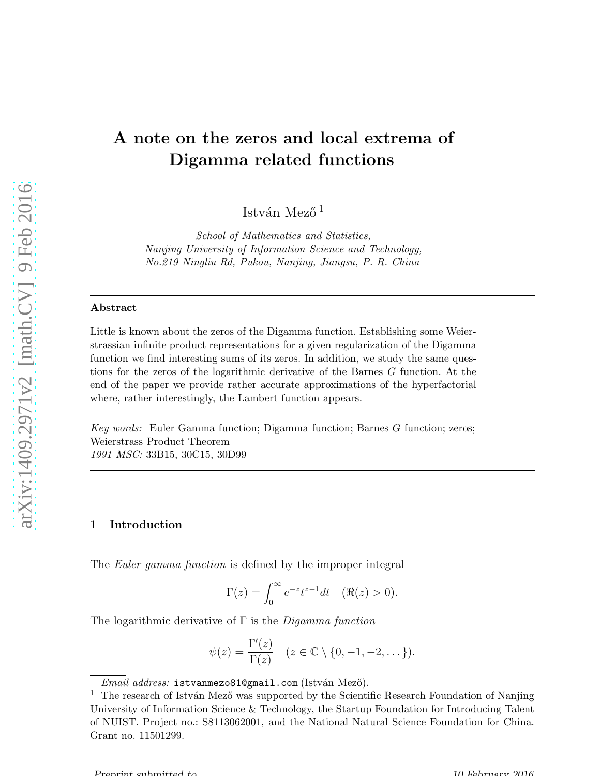# A note on the zeros and local extrema of Digamma related functions

István Mező<sup>1</sup>

*School of Mathematics and Statistics, Nanjing University of Information Science and Technology, No.219 Ningliu Rd, Pukou, Nanjing, Jiangsu, P. R. China*

#### Abstract

Little is known about the zeros of the Digamma function. Establishing some Weierstrassian infinite product representations for a given regularization of the Digamma function we find interesting sums of its zeros. In addition, we study the same questions for the zeros of the logarithmic derivative of the Barnes G function. At the end of the paper we provide rather accurate approximations of the hyperfactorial where, rather interestingly, the Lambert function appears.

*Key words:* Euler Gamma function; Digamma function; Barnes G function; zeros; Weierstrass Product Theorem *1991 MSC:* 33B15, 30C15, 30D99

## 1 Introduction

The *Euler gamma function* is defined by the improper integral

$$
\Gamma(z) = \int_0^\infty e^{-z} t^{z-1} dt \quad (\Re(z) > 0).
$$

The logarithmic derivative of  $\Gamma$  is the *Digamma function* 

$$
\psi(z) = \frac{\Gamma'(z)}{\Gamma(z)} \quad (z \in \mathbb{C} \setminus \{0, -1, -2, \dots\}).
$$

 $\overline{Email}$  *address:* istvanmezo81@gmail.com (István Mező).

 $^1\,$  The research of István Mező was supported by the Scientific Research Foundation of Nanjing University of Information Science & Technology, the Startup Foundation for Introducing Talent of NUIST. Project no.: S8113062001, and the National Natural Science Foundation for China. Grant no. 11501299.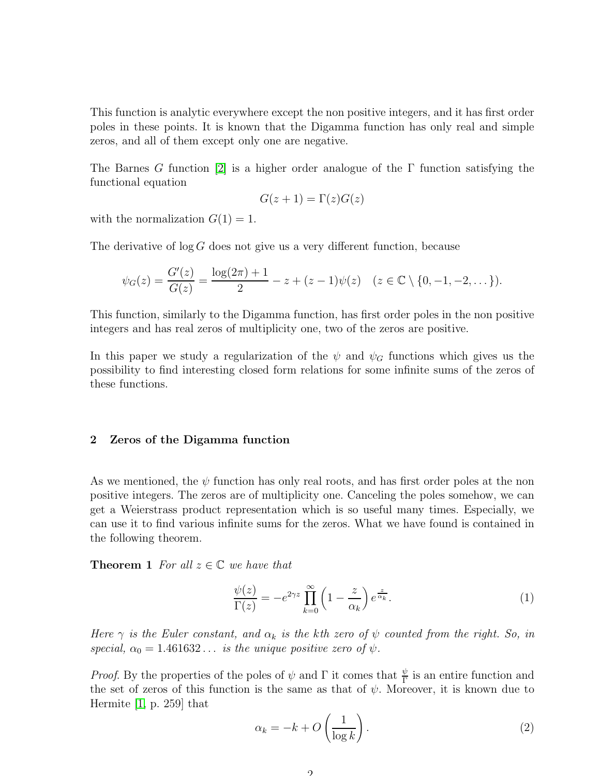This function is analytic everywhere except the non positive integers, and it has first order poles in these points. It is known that the Digamma function has only real and simple zeros, and all of them except only one are negative.

The Barnes G function [\[2\]](#page-6-0) is a higher order analogue of the  $\Gamma$  function satisfying the functional equation

$$
G(z+1) = \Gamma(z)G(z)
$$

with the normalization  $G(1) = 1$ .

The derivative of  $\log G$  does not give us a very different function, because

$$
\psi_G(z) = \frac{G'(z)}{G(z)} = \frac{\log(2\pi) + 1}{2} - z + (z - 1)\psi(z) \quad (z \in \mathbb{C} \setminus \{0, -1, -2, \dots\}).
$$

This function, similarly to the Digamma function, has first order poles in the non positive integers and has real zeros of multiplicity one, two of the zeros are positive.

In this paper we study a regularization of the  $\psi$  and  $\psi_G$  functions which gives us the possibility to find interesting closed form relations for some infinite sums of the zeros of these functions.

## 2 Zeros of the Digamma function

As we mentioned, the  $\psi$  function has only real roots, and has first order poles at the non positive integers. The zeros are of multiplicity one. Canceling the poles somehow, we can get a Weierstrass product representation which is so useful many times. Especially, we can use it to find various infinite sums for the zeros. What we have found is contained in the following theorem.

**Theorem 1** For all  $z \in \mathbb{C}$  we have that

<span id="page-1-0"></span>
$$
\frac{\psi(z)}{\Gamma(z)} = -e^{2\gamma z} \prod_{k=0}^{\infty} \left(1 - \frac{z}{\alpha_k}\right) e^{\frac{z}{\alpha_k}}.
$$
\n(1)

Here  $\gamma$  is the Euler constant, and  $\alpha_k$  is the kth zero of  $\psi$  counted from the right. So, in special,  $\alpha_0 = 1.461632...$  is the unique positive zero of  $\psi$ .

*Proof.* By the properties of the poles of  $\psi$  and  $\Gamma$  it comes that  $\frac{\psi}{\Gamma}$  is an entire function and the set of zeros of this function is the same as that of  $\psi$ . Moreover, it is known due to Hermite [\[1,](#page-6-1) p. 259] that

<span id="page-1-1"></span>
$$
\alpha_k = -k + O\left(\frac{1}{\log k}\right). \tag{2}
$$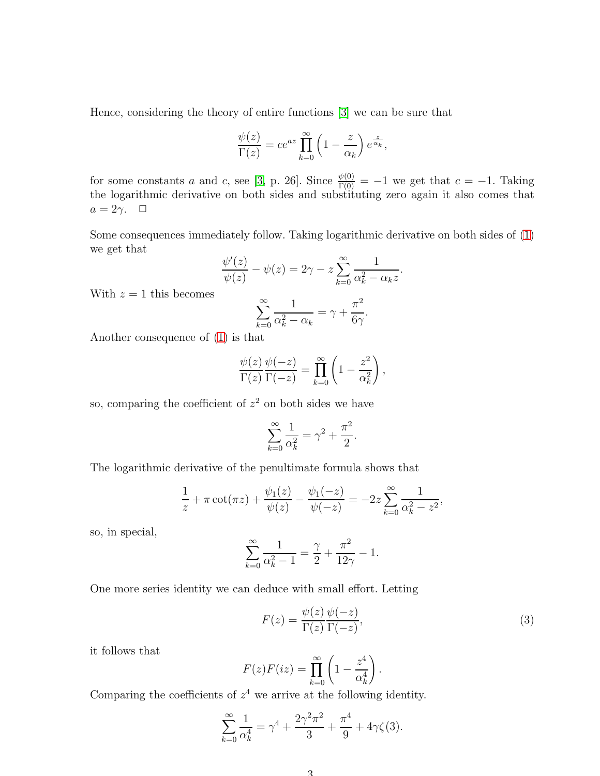Hence, considering the theory of entire functions [\[3\]](#page-6-2) we can be sure that

$$
\frac{\psi(z)}{\Gamma(z)} = ce^{az} \prod_{k=0}^{\infty} \left(1 - \frac{z}{\alpha_k}\right) e^{\frac{z}{\alpha_k}},
$$

for some constants a and c, see [\[3,](#page-6-2) p. 26]. Since  $\frac{\psi(0)}{\Gamma(0)} = -1$  we get that  $c = -1$ . Taking the logarithmic derivative on both sides and substituting zero again it also comes that  $a=2\gamma$ .  $\Box$ 

Some consequences immediately follow. Taking logarithmic derivative on both sides of [\(1\)](#page-1-0) we get that

$$
\frac{\psi'(z)}{\psi(z)} - \psi(z) = 2\gamma - z \sum_{k=0}^{\infty} \frac{1}{\alpha_k^2 - \alpha_k z}
$$

With  $z = 1$  this becomes

$$
\sum_{k=0}^{\infty} \frac{1}{\alpha_k^2 - \alpha_k} = \gamma + \frac{\pi^2}{6\gamma}.
$$

Another consequence of [\(1\)](#page-1-0) is that

$$
\frac{\psi(z)}{\Gamma(z)} \frac{\psi(-z)}{\Gamma(-z)} = \prod_{k=0}^{\infty} \left(1 - \frac{z^2}{\alpha_k^2}\right),
$$

so, comparing the coefficient of  $z^2$  on both sides we have

$$
\sum_{k=0}^{\infty} \frac{1}{\alpha_k^2} = \gamma^2 + \frac{\pi^2}{2}.
$$

The logarithmic derivative of the penultimate formula shows that

$$
\frac{1}{z} + \pi \cot(\pi z) + \frac{\psi_1(z)}{\psi(z)} - \frac{\psi_1(-z)}{\psi(-z)} = -2z \sum_{k=0}^{\infty} \frac{1}{\alpha_k^2 - z^2},
$$

so, in special,

$$
\sum_{k=0}^{\infty} \frac{1}{\alpha_k^2 - 1} = \frac{\gamma}{2} + \frac{\pi^2}{12\gamma} - 1.
$$

One more series identity we can deduce with small effort. Letting

<span id="page-2-0"></span>
$$
F(z) = \frac{\psi(z)}{\Gamma(z)} \frac{\psi(-z)}{\Gamma(-z)},
$$
\n(3)

.

it follows that

$$
F(z)F(iz) = \prod_{k=0}^{\infty} \left(1 - \frac{z^4}{\alpha_k^4}\right).
$$

Comparing the coefficients of  $z<sup>4</sup>$  we arrive at the following identity.

$$
\sum_{k=0}^{\infty} \frac{1}{\alpha_k^4} = \gamma^4 + \frac{2\gamma^2 \pi^2}{3} + \frac{\pi^4}{9} + 4\gamma \zeta(3).
$$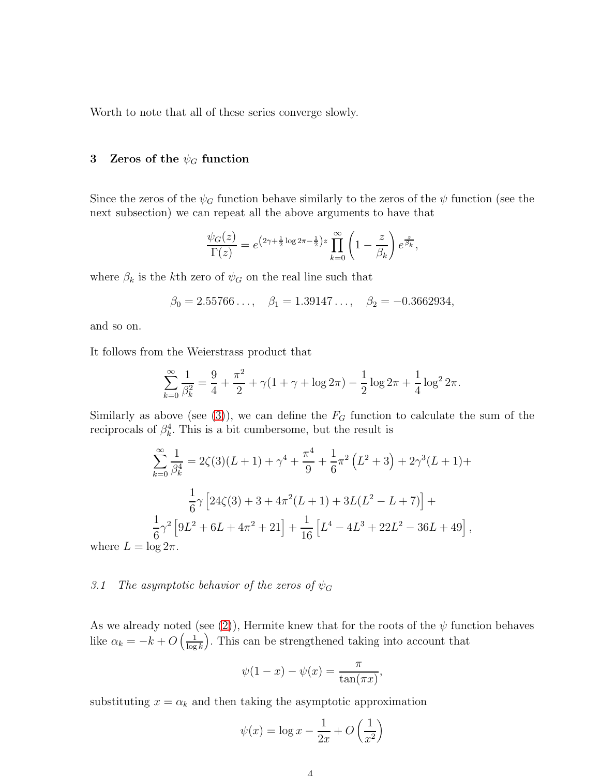Worth to note that all of these series converge slowly.

# 3 Zeros of the  $\psi_G$  function

Since the zeros of the  $\psi_G$  function behave similarly to the zeros of the  $\psi$  function (see the next subsection) we can repeat all the above arguments to have that

$$
\frac{\psi_G(z)}{\Gamma(z)} = e^{\left(2\gamma + \frac{1}{2}\log 2\pi - \frac{1}{2}\right)z} \prod_{k=0}^{\infty} \left(1 - \frac{z}{\beta_k}\right) e^{\frac{z}{\beta_k}},
$$

where  $\beta_k$  is the kth zero of  $\psi_G$  on the real line such that

$$
\beta_0 = 2.55766..., \quad \beta_1 = 1.39147..., \quad \beta_2 = -0.3662934,
$$

and so on.

It follows from the Weierstrass product that

$$
\sum_{k=0}^{\infty} \frac{1}{\beta_k^2} = \frac{9}{4} + \frac{\pi^2}{2} + \gamma (1 + \gamma + \log 2\pi) - \frac{1}{2} \log 2\pi + \frac{1}{4} \log^2 2\pi.
$$

Similarly as above (see [\(3\)](#page-2-0)), we can define the  $F_G$  function to calculate the sum of the reciprocals of  $\beta_k^4$ . This is a bit cumbersome, but the result is

$$
\sum_{k=0}^{\infty} \frac{1}{\beta_k^4} = 2\zeta(3)(L+1) + \gamma^4 + \frac{\pi^4}{9} + \frac{1}{6}\pi^2 (L^2 + 3) + 2\gamma^3 (L+1) +
$$
  

$$
\frac{1}{6}\gamma \left[24\zeta(3) + 3 + 4\pi^2 (L+1) + 3L(L^2 - L + 7)\right] +
$$
  

$$
\frac{1}{6}\gamma^2 \left[9L^2 + 6L + 4\pi^2 + 21\right] + \frac{1}{16} \left[L^4 - 4L^3 + 22L^2 - 36L + 49\right],
$$
  

$$
L = \log 2\pi.
$$

where  $L = \log 2\pi$ .

## 3.1 The asymptotic behavior of the zeros of  $\psi_G$

As we already noted (see [\(2\)](#page-1-1)), Hermite knew that for the roots of the  $\psi$  function behaves like  $\alpha_k = -k + O\left(\frac{1}{\log k}\right)$  $\frac{1}{\log k}$ . This can be strengthened taking into account that

$$
\psi(1-x) - \psi(x) = \frac{\pi}{\tan(\pi x)},
$$

substituting  $x = \alpha_k$  and then taking the asymptotic approximation

$$
\psi(x) = \log x - \frac{1}{2x} + O\left(\frac{1}{x^2}\right)
$$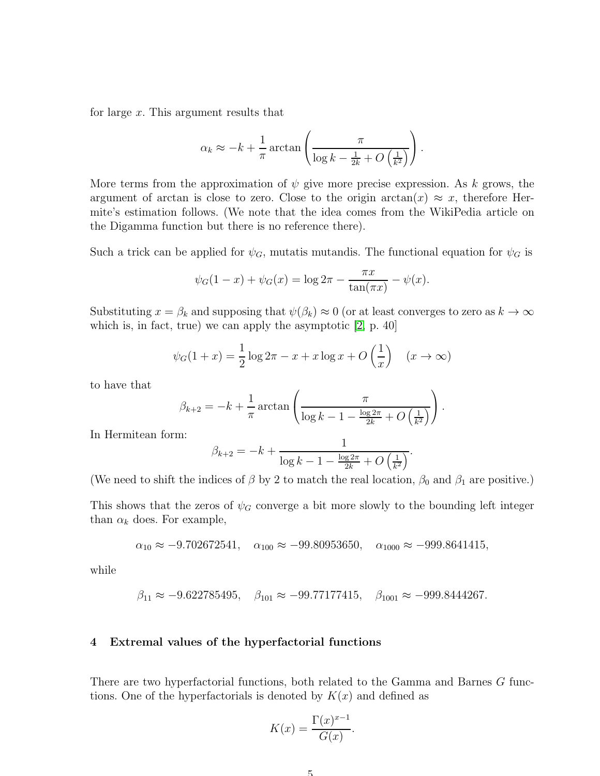for large x. This argument results that

$$
\alpha_k \approx -k + \frac{1}{\pi} \arctan\left(\frac{\pi}{\log k - \frac{1}{2k} + O\left(\frac{1}{k^2}\right)}\right).
$$

More terms from the approximation of  $\psi$  give more precise expression. As k grows, the argument of arctan is close to zero. Close to the origin arctan(x)  $\approx x$ , therefore Hermite's estimation follows. (We note that the idea comes from the WikiPedia article on the Digamma function but there is no reference there).

Such a trick can be applied for  $\psi_G$ , mutatis mutandis. The functional equation for  $\psi_G$  is

$$
\psi_G(1-x) + \psi_G(x) = \log 2\pi - \frac{\pi x}{\tan(\pi x)} - \psi(x).
$$

Substituting  $x = \beta_k$  and supposing that  $\psi(\beta_k) \approx 0$  (or at least converges to zero as  $k \to \infty$ which is, in fact, true) we can apply the asymptotic [\[2,](#page-6-0) p. 40]

$$
\psi_G(1+x) = \frac{1}{2}\log 2\pi - x + x\log x + O\left(\frac{1}{x}\right) \quad (x \to \infty)
$$

to have that

$$
\beta_{k+2} = -k + \frac{1}{\pi} \arctan\left(\frac{\pi}{\log k - 1 - \frac{\log 2\pi}{2k} + O\left(\frac{1}{k^2}\right)}\right).
$$

In Hermitean form:

$$
\beta_{k+2} = -k + \frac{1}{\log k - 1 - \frac{\log 2\pi}{2k} + O\left(\frac{1}{k^2}\right)}.
$$

(We need to shift the indices of  $\beta$  by 2 to match the real location,  $\beta_0$  and  $\beta_1$  are positive.)

This shows that the zeros of  $\psi_G$  converge a bit more slowly to the bounding left integer than  $\alpha_k$  does. For example,

$$
\alpha_{10} \approx -9.702672541, \quad \alpha_{100} \approx -99.80953650, \quad \alpha_{1000} \approx -999.8641415,
$$

while

$$
\beta_{11} \approx -9.622785495
$$
,  $\beta_{101} \approx -99.77177415$ ,  $\beta_{1001} \approx -999.8444267$ .

### 4 Extremal values of the hyperfactorial functions

There are two hyperfactorial functions, both related to the Gamma and Barnes G functions. One of the hyperfactorials is denoted by  $K(x)$  and defined as

$$
K(x) = \frac{\Gamma(x)^{x-1}}{G(x)}.
$$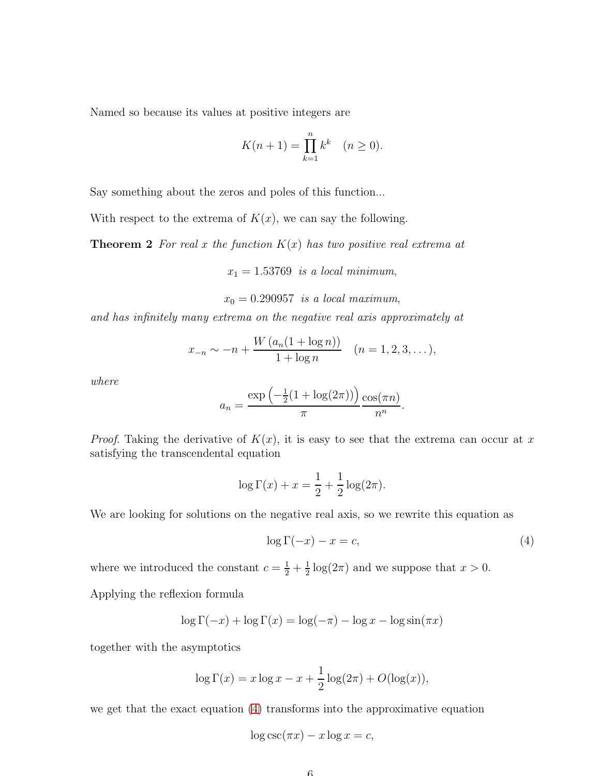Named so because its values at positive integers are

$$
K(n+1) = \prod_{k=1}^{n} k^k \quad (n \ge 0).
$$

Say something about the zeros and poles of this function...

With respect to the extrema of  $K(x)$ , we can say the following.

**Theorem 2** For real x the function  $K(x)$  has two positive real extrema at

 $x_1 = 1.53769$  is a local minimum,

 $x_0 = 0.290957$  is a local maximum,

and has infinitely many extrema on the negative real axis approximately at

$$
x_{-n} \sim -n + \frac{W(a_n(1+\log n))}{1+\log n} \quad (n = 1, 2, 3, \dots),
$$

where

$$
a_n = \frac{\exp\left(-\frac{1}{2}(1+\log(2\pi))\right)}{\pi} \frac{\cos(\pi n)}{n^n}.
$$

*Proof.* Taking the derivative of  $K(x)$ , it is easy to see that the extrema can occur at x satisfying the transcendental equation

$$
\log \Gamma(x) + x = \frac{1}{2} + \frac{1}{2} \log(2\pi).
$$

We are looking for solutions on the negative real axis, so we rewrite this equation as

<span id="page-5-0"></span>
$$
\log \Gamma(-x) - x = c,\tag{4}
$$

where we introduced the constant  $c = \frac{1}{2} + \frac{1}{2}$  $\frac{1}{2}\log(2\pi)$  and we suppose that  $x > 0$ .

Applying the reflexion formula

$$
\log \Gamma(-x) + \log \Gamma(x) = \log(-\pi) - \log x - \log \sin(\pi x)
$$

together with the asymptotics

$$
\log \Gamma(x) = x \log x - x + \frac{1}{2} \log(2\pi) + O(\log(x)),
$$

we get that the exact equation [\(4\)](#page-5-0) transforms into the approximative equation

$$
\log \csc(\pi x) - x \log x = c,
$$